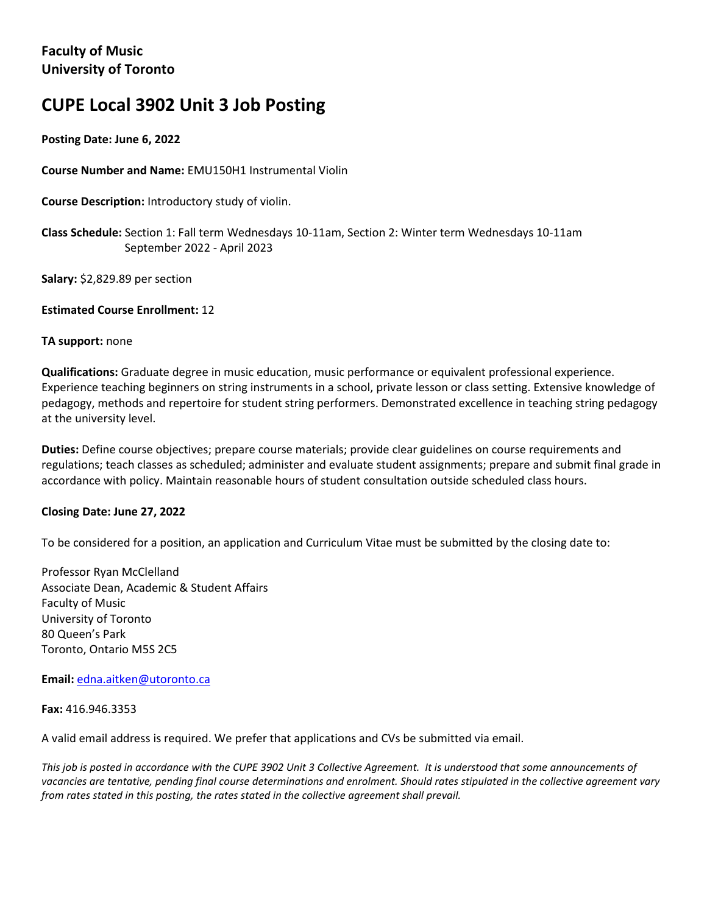# **CUPE Local 3902 Unit 3 Job Posting**

## **Posting Date: June 6, 2022**

**Course Number and Name:** EMU150H1 Instrumental Violin

**Course Description:** Introductory study of violin.

**Class Schedule:** Section 1: Fall term Wednesdays 10-11am, Section 2: Winter term Wednesdays 10-11am September 2022 - April 2023

**Salary:** \$2,829.89 per section

**Estimated Course Enrollment:** 12

#### **TA support:** none

**Qualifications:** Graduate degree in music education, music performance or equivalent professional experience. Experience teaching beginners on string instruments in a school, private lesson or class setting. Extensive knowledge of pedagogy, methods and repertoire for student string performers. Demonstrated excellence in teaching string pedagogy at the university level.

**Duties:** Define course objectives; prepare course materials; provide clear guidelines on course requirements and regulations; teach classes as scheduled; administer and evaluate student assignments; prepare and submit final grade in accordance with policy. Maintain reasonable hours of student consultation outside scheduled class hours.

### **Closing Date: June 27, 2022**

To be considered for a position, an application and Curriculum Vitae must be submitted by the closing date to:

Professor Ryan McClelland Associate Dean, Academic & Student Affairs Faculty of Music University of Toronto 80 Queen's Park Toronto, Ontario M5S 2C5

**Email:** edna.aitken@utoronto.ca

**Fax:** 416.946.3353

A valid email address is required. We prefer that applications and CVs be submitted via email.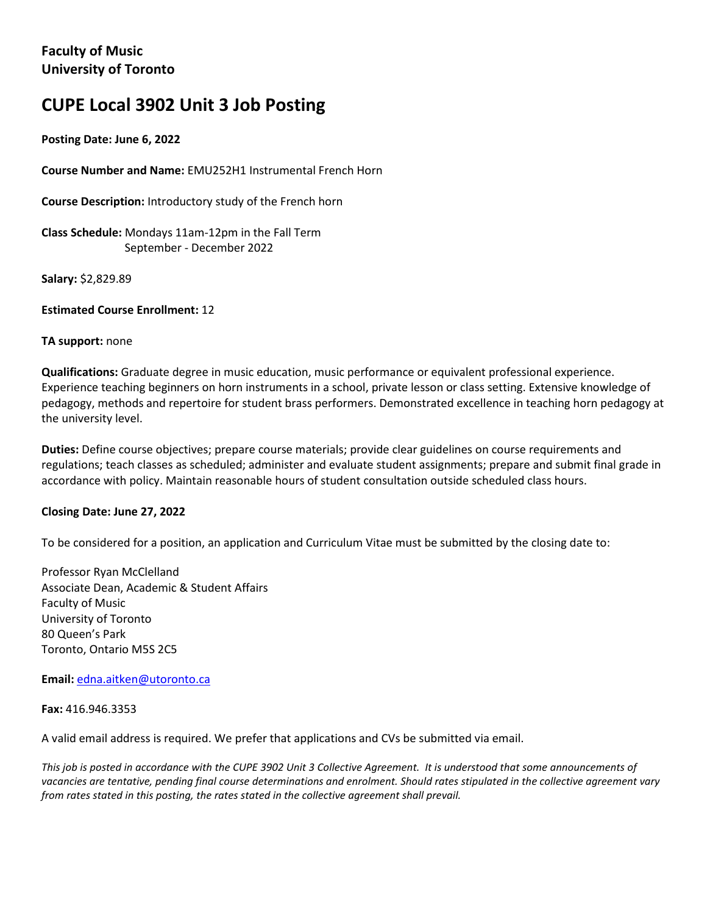# **CUPE Local 3902 Unit 3 Job Posting**

## **Posting Date: June 6, 2022**

**Course Number and Name:** EMU252H1 Instrumental French Horn

**Course Description:** Introductory study of the French horn

**Class Schedule:** Mondays 11am-12pm in the Fall Term September - December 2022

**Salary:** \$2,829.89

**Estimated Course Enrollment:** 12

#### **TA support:** none

**Qualifications:** Graduate degree in music education, music performance or equivalent professional experience. Experience teaching beginners on horn instruments in a school, private lesson or class setting. Extensive knowledge of pedagogy, methods and repertoire for student brass performers. Demonstrated excellence in teaching horn pedagogy at the university level.

**Duties:** Define course objectives; prepare course materials; provide clear guidelines on course requirements and regulations; teach classes as scheduled; administer and evaluate student assignments; prepare and submit final grade in accordance with policy. Maintain reasonable hours of student consultation outside scheduled class hours.

### **Closing Date: June 27, 2022**

To be considered for a position, an application and Curriculum Vitae must be submitted by the closing date to:

Professor Ryan McClelland Associate Dean, Academic & Student Affairs Faculty of Music University of Toronto 80 Queen's Park Toronto, Ontario M5S 2C5

**Email:** edna.aitken@utoronto.ca

**Fax:** 416.946.3353

A valid email address is required. We prefer that applications and CVs be submitted via email.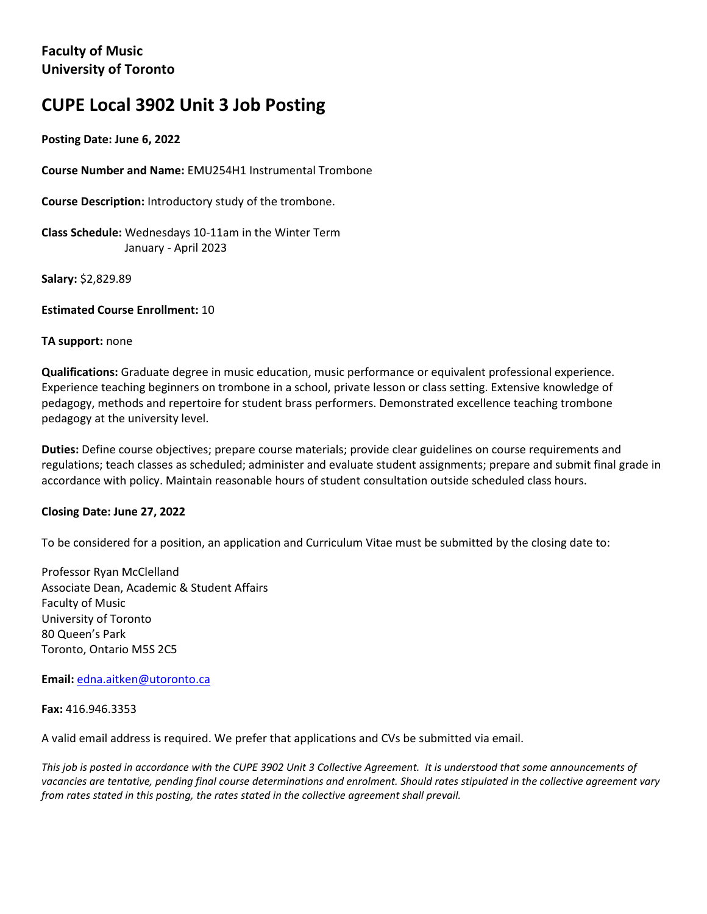# **CUPE Local 3902 Unit 3 Job Posting**

## **Posting Date: June 6, 2022**

**Course Number and Name:** EMU254H1 Instrumental Trombone

**Course Description:** Introductory study of the trombone.

**Class Schedule:** Wednesdays 10-11am in the Winter Term January - April 2023

**Salary:** \$2,829.89

**Estimated Course Enrollment:** 10

#### **TA support:** none

**Qualifications:** Graduate degree in music education, music performance or equivalent professional experience. Experience teaching beginners on trombone in a school, private lesson or class setting. Extensive knowledge of pedagogy, methods and repertoire for student brass performers. Demonstrated excellence teaching trombone pedagogy at the university level.

**Duties:** Define course objectives; prepare course materials; provide clear guidelines on course requirements and regulations; teach classes as scheduled; administer and evaluate student assignments; prepare and submit final grade in accordance with policy. Maintain reasonable hours of student consultation outside scheduled class hours.

### **Closing Date: June 27, 2022**

To be considered for a position, an application and Curriculum Vitae must be submitted by the closing date to:

Professor Ryan McClelland Associate Dean, Academic & Student Affairs Faculty of Music University of Toronto 80 Queen's Park Toronto, Ontario M5S 2C5

**Email:** edna.aitken@utoronto.ca

**Fax:** 416.946.3353

A valid email address is required. We prefer that applications and CVs be submitted via email.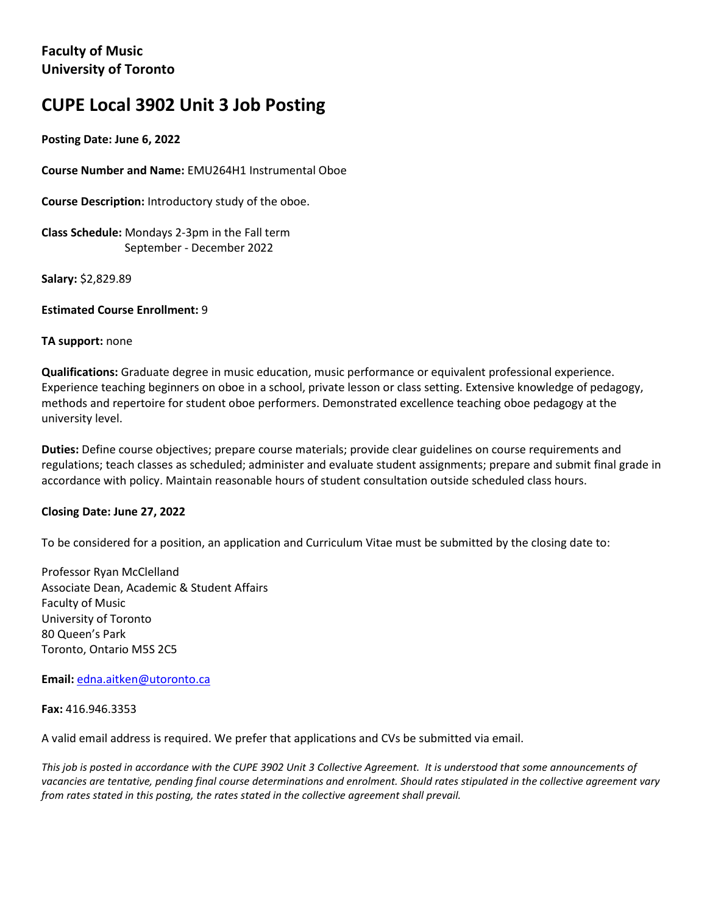# **CUPE Local 3902 Unit 3 Job Posting**

## **Posting Date: June 6, 2022**

**Course Number and Name:** EMU264H1 Instrumental Oboe

**Course Description:** Introductory study of the oboe.

**Class Schedule:** Mondays 2-3pm in the Fall term September - December 2022

**Salary:** \$2,829.89

**Estimated Course Enrollment:** 9

#### **TA support:** none

**Qualifications:** Graduate degree in music education, music performance or equivalent professional experience. Experience teaching beginners on oboe in a school, private lesson or class setting. Extensive knowledge of pedagogy, methods and repertoire for student oboe performers. Demonstrated excellence teaching oboe pedagogy at the university level.

**Duties:** Define course objectives; prepare course materials; provide clear guidelines on course requirements and regulations; teach classes as scheduled; administer and evaluate student assignments; prepare and submit final grade in accordance with policy. Maintain reasonable hours of student consultation outside scheduled class hours.

### **Closing Date: June 27, 2022**

To be considered for a position, an application and Curriculum Vitae must be submitted by the closing date to:

Professor Ryan McClelland Associate Dean, Academic & Student Affairs Faculty of Music University of Toronto 80 Queen's Park Toronto, Ontario M5S 2C5

**Email:** edna.aitken@utoronto.ca

**Fax:** 416.946.3353

A valid email address is required. We prefer that applications and CVs be submitted via email.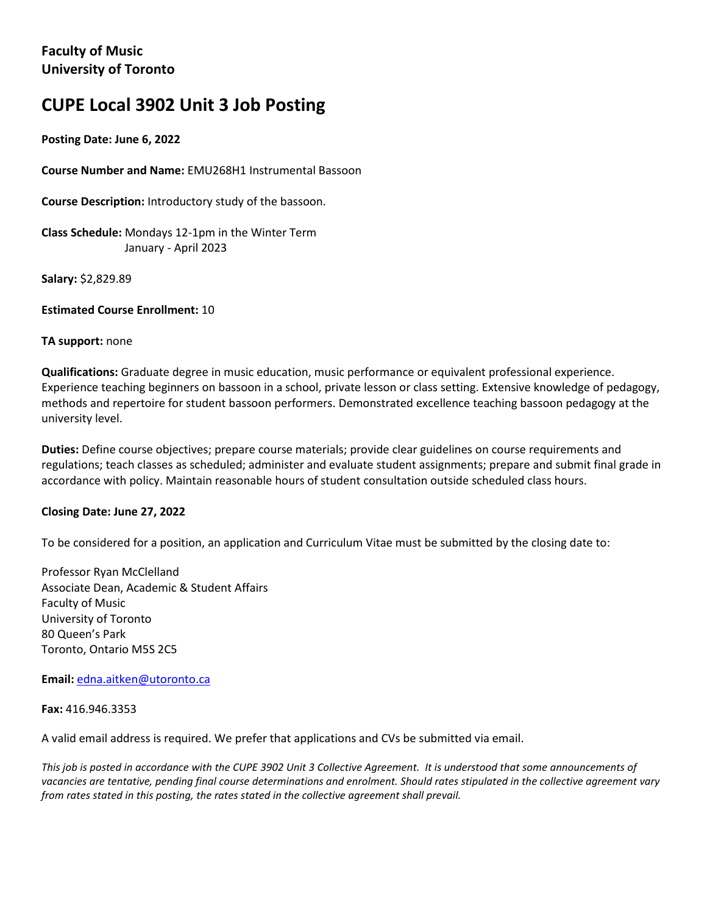# **CUPE Local 3902 Unit 3 Job Posting**

## **Posting Date: June 6, 2022**

**Course Number and Name:** EMU268H1 Instrumental Bassoon

**Course Description:** Introductory study of the bassoon.

**Class Schedule:** Mondays 12-1pm in the Winter Term January - April 2023

**Salary:** \$2,829.89

**Estimated Course Enrollment:** 10

#### **TA support:** none

**Qualifications:** Graduate degree in music education, music performance or equivalent professional experience. Experience teaching beginners on bassoon in a school, private lesson or class setting. Extensive knowledge of pedagogy, methods and repertoire for student bassoon performers. Demonstrated excellence teaching bassoon pedagogy at the university level.

**Duties:** Define course objectives; prepare course materials; provide clear guidelines on course requirements and regulations; teach classes as scheduled; administer and evaluate student assignments; prepare and submit final grade in accordance with policy. Maintain reasonable hours of student consultation outside scheduled class hours.

### **Closing Date: June 27, 2022**

To be considered for a position, an application and Curriculum Vitae must be submitted by the closing date to:

Professor Ryan McClelland Associate Dean, Academic & Student Affairs Faculty of Music University of Toronto 80 Queen's Park Toronto, Ontario M5S 2C5

**Email:** edna.aitken@utoronto.ca

**Fax:** 416.946.3353

A valid email address is required. We prefer that applications and CVs be submitted via email.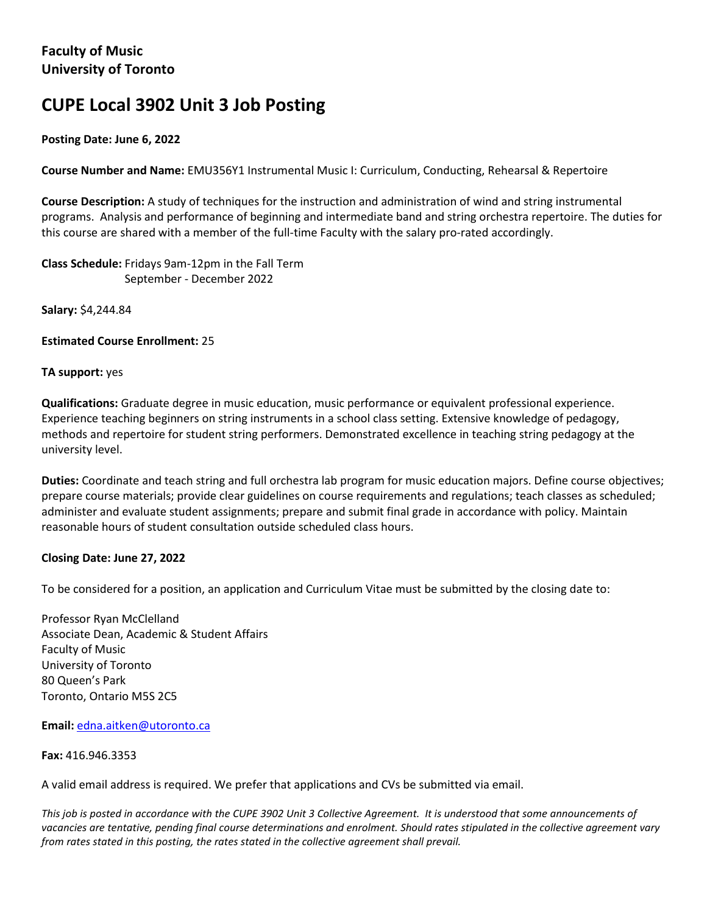# **CUPE Local 3902 Unit 3 Job Posting**

## **Posting Date: June 6, 2022**

**Course Number and Name:** EMU356Y1 Instrumental Music I: Curriculum, Conducting, Rehearsal & Repertoire

**Course Description:** A study of techniques for the instruction and administration of wind and string instrumental programs. Analysis and performance of beginning and intermediate band and string orchestra repertoire. The duties for this course are shared with a member of the full-time Faculty with the salary pro-rated accordingly.

**Class Schedule:** Fridays 9am-12pm in the Fall Term September - December 2022

**Salary:** \$4,244.84

**Estimated Course Enrollment:** 25

## **TA support:** yes

**Qualifications:** Graduate degree in music education, music performance or equivalent professional experience. Experience teaching beginners on string instruments in a school class setting. Extensive knowledge of pedagogy, methods and repertoire for student string performers. Demonstrated excellence in teaching string pedagogy at the university level.

**Duties:** Coordinate and teach string and full orchestra lab program for music education majors. Define course objectives; prepare course materials; provide clear guidelines on course requirements and regulations; teach classes as scheduled; administer and evaluate student assignments; prepare and submit final grade in accordance with policy. Maintain reasonable hours of student consultation outside scheduled class hours.

### **Closing Date: June 27, 2022**

To be considered for a position, an application and Curriculum Vitae must be submitted by the closing date to:

Professor Ryan McClelland Associate Dean, Academic & Student Affairs Faculty of Music University of Toronto 80 Queen's Park Toronto, Ontario M5S 2C5

**Email:** edna.aitken@utoronto.ca

**Fax:** 416.946.3353

A valid email address is required. We prefer that applications and CVs be submitted via email.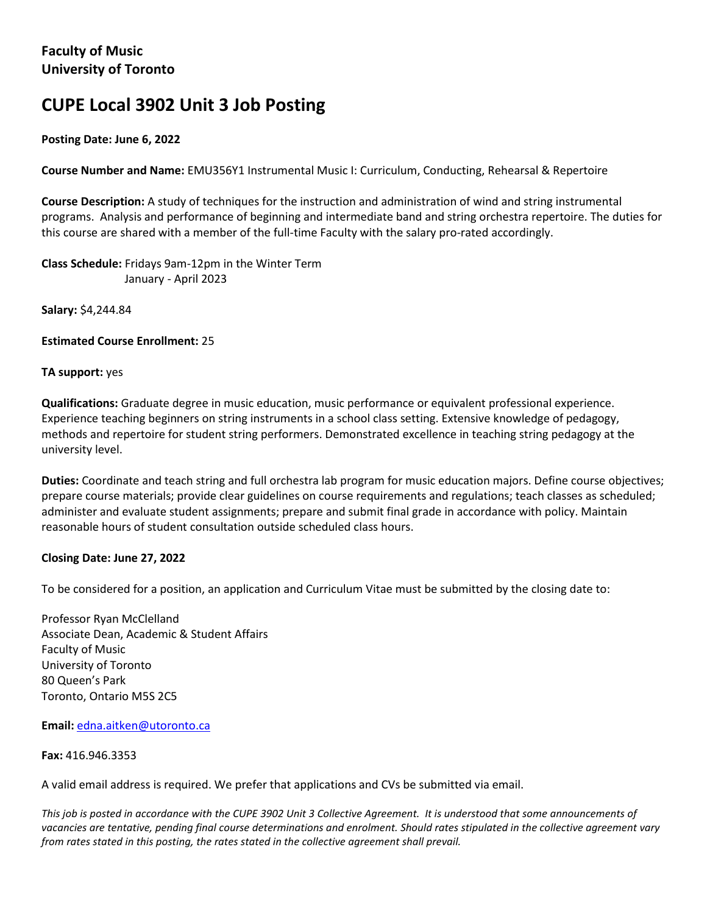# **CUPE Local 3902 Unit 3 Job Posting**

## **Posting Date: June 6, 2022**

**Course Number and Name:** EMU356Y1 Instrumental Music I: Curriculum, Conducting, Rehearsal & Repertoire

**Course Description:** A study of techniques for the instruction and administration of wind and string instrumental programs. Analysis and performance of beginning and intermediate band and string orchestra repertoire. The duties for this course are shared with a member of the full-time Faculty with the salary pro-rated accordingly.

**Class Schedule:** Fridays 9am-12pm in the Winter Term January - April 2023

**Salary:** \$4,244.84

**Estimated Course Enrollment:** 25

#### **TA support:** yes

**Qualifications:** Graduate degree in music education, music performance or equivalent professional experience. Experience teaching beginners on string instruments in a school class setting. Extensive knowledge of pedagogy, methods and repertoire for student string performers. Demonstrated excellence in teaching string pedagogy at the university level.

**Duties:** Coordinate and teach string and full orchestra lab program for music education majors. Define course objectives; prepare course materials; provide clear guidelines on course requirements and regulations; teach classes as scheduled; administer and evaluate student assignments; prepare and submit final grade in accordance with policy. Maintain reasonable hours of student consultation outside scheduled class hours.

### **Closing Date: June 27, 2022**

To be considered for a position, an application and Curriculum Vitae must be submitted by the closing date to:

Professor Ryan McClelland Associate Dean, Academic & Student Affairs Faculty of Music University of Toronto 80 Queen's Park Toronto, Ontario M5S 2C5

**Email:** edna.aitken@utoronto.ca

**Fax:** 416.946.3353

A valid email address is required. We prefer that applications and CVs be submitted via email.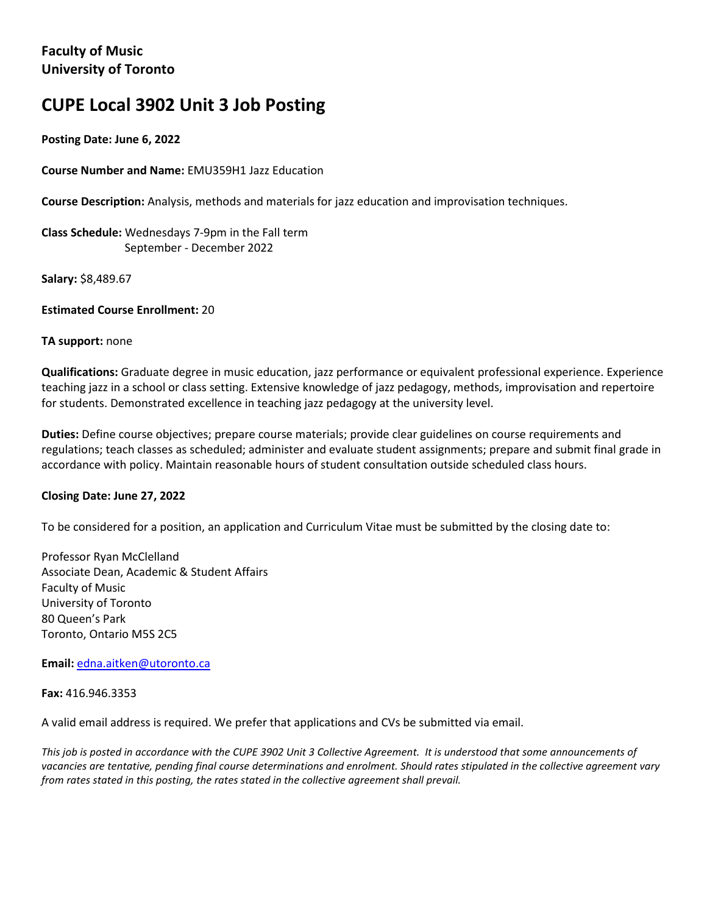# **CUPE Local 3902 Unit 3 Job Posting**

## **Posting Date: June 6, 2022**

**Course Number and Name:** EMU359H1 Jazz Education

**Course Description:** Analysis, methods and materials for jazz education and improvisation techniques.

**Class Schedule:** Wednesdays 7-9pm in the Fall term September - December 2022

**Salary:** \$8,489.67

**Estimated Course Enrollment:** 20

### **TA support:** none

**Qualifications:** Graduate degree in music education, jazz performance or equivalent professional experience. Experience teaching jazz in a school or class setting. Extensive knowledge of jazz pedagogy, methods, improvisation and repertoire for students. Demonstrated excellence in teaching jazz pedagogy at the university level.

**Duties:** Define course objectives; prepare course materials; provide clear guidelines on course requirements and regulations; teach classes as scheduled; administer and evaluate student assignments; prepare and submit final grade in accordance with policy. Maintain reasonable hours of student consultation outside scheduled class hours.

### **Closing Date: June 27, 2022**

To be considered for a position, an application and Curriculum Vitae must be submitted by the closing date to:

Professor Ryan McClelland Associate Dean, Academic & Student Affairs Faculty of Music University of Toronto 80 Queen's Park Toronto, Ontario M5S 2C5

**Email:** edna.aitken@utoronto.ca

**Fax:** 416.946.3353

A valid email address is required. We prefer that applications and CVs be submitted via email.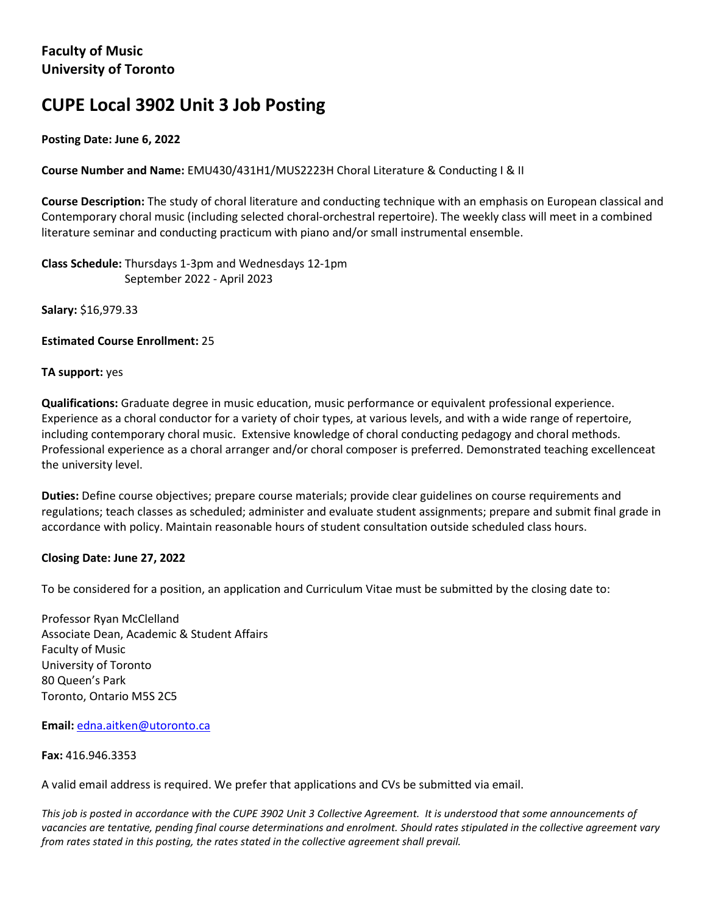# **CUPE Local 3902 Unit 3 Job Posting**

## **Posting Date: June 6, 2022**

**Course Number and Name:** EMU430/431H1/MUS2223H Choral Literature & Conducting I & II

**Course Description:** The study of choral literature and conducting technique with an emphasis on European classical and Contemporary choral music (including selected choral-orchestral repertoire). The weekly class will meet in a combined literature seminar and conducting practicum with piano and/or small instrumental ensemble.

**Class Schedule:** Thursdays 1-3pm and Wednesdays 12-1pm September 2022 - April 2023

**Salary:** \$16,979.33

**Estimated Course Enrollment:** 25

#### **TA support:** yes

**Qualifications:** Graduate degree in music education, music performance or equivalent professional experience. Experience as a choral conductor for a variety of choir types, at various levels, and with a wide range of repertoire, including contemporary choral music. Extensive knowledge of choral conducting pedagogy and choral methods. Professional experience as a choral arranger and/or choral composer is preferred. Demonstrated teaching excellenceat the university level.

**Duties:** Define course objectives; prepare course materials; provide clear guidelines on course requirements and regulations; teach classes as scheduled; administer and evaluate student assignments; prepare and submit final grade in accordance with policy. Maintain reasonable hours of student consultation outside scheduled class hours.

### **Closing Date: June 27, 2022**

To be considered for a position, an application and Curriculum Vitae must be submitted by the closing date to:

Professor Ryan McClelland Associate Dean, Academic & Student Affairs Faculty of Music University of Toronto 80 Queen's Park Toronto, Ontario M5S 2C5

**Email:** edna.aitken@utoronto.ca

**Fax:** 416.946.3353

A valid email address is required. We prefer that applications and CVs be submitted via email.